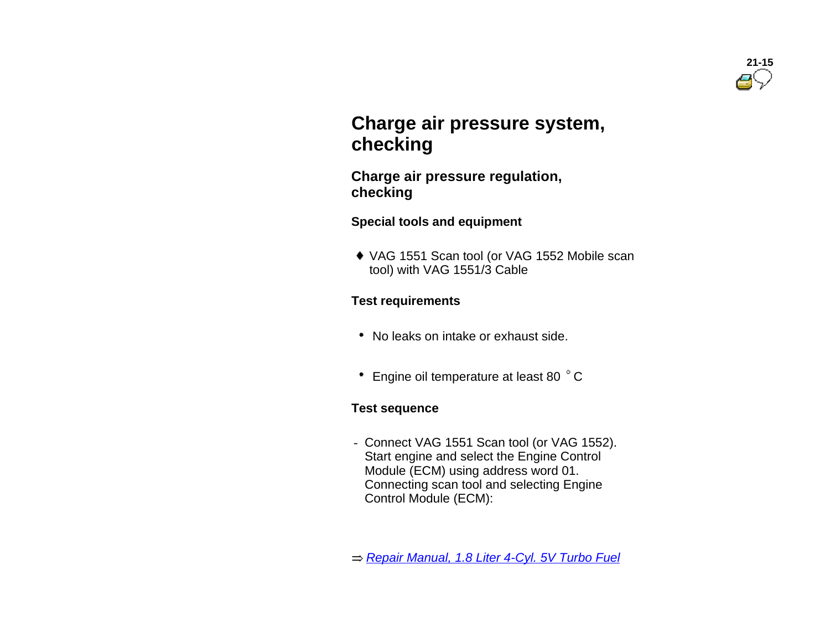

# **Charge air pressure system, checking**

 **Charge air pressure regulation, checking**

**Special tools and equipment** 

 VAG 1551 Scan tool (or VAG 1552 Mobile scan tool) with VAG 1551/3 Cable

#### **Test requirements**

- No leaks on intake or exhaust side.
- Engine oil temperature at least 80 °C

#### **Test sequence**

- Connect VAG 1551 Scan tool (or VAG 1552). Start engine and select the Engine Control Module (ECM) using address word 01. Connecting scan tool and selecting Engine Control Module (ECM):

*Repair Manual, 1.8 Liter 4-Cyl. 5V Turbo Fuel*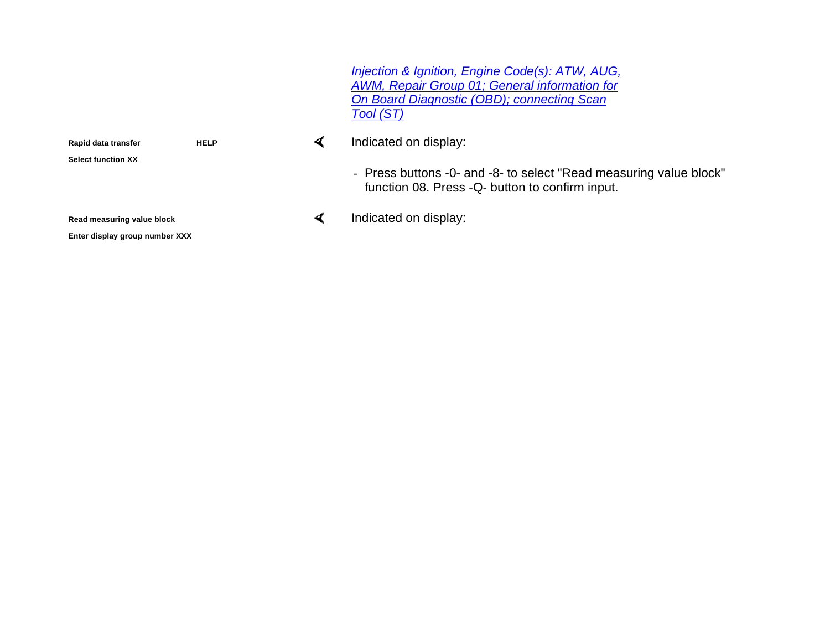*Injection & Ignition, Engine Code(s): ATW, AUG, AWM, Repair Group 01; General information for On Board Diagnostic (OBD); connecting Scan Tool (ST)*

Indicated on display:

- Press buttons -0- and -8- to select "Read measuring value block" function 08. Press -Q- button to confirm input.

Indicated on display:

**Rapid data transfer HELP** 

**Select function XX**

**Read measuring value block**

**Enter display group number XXX**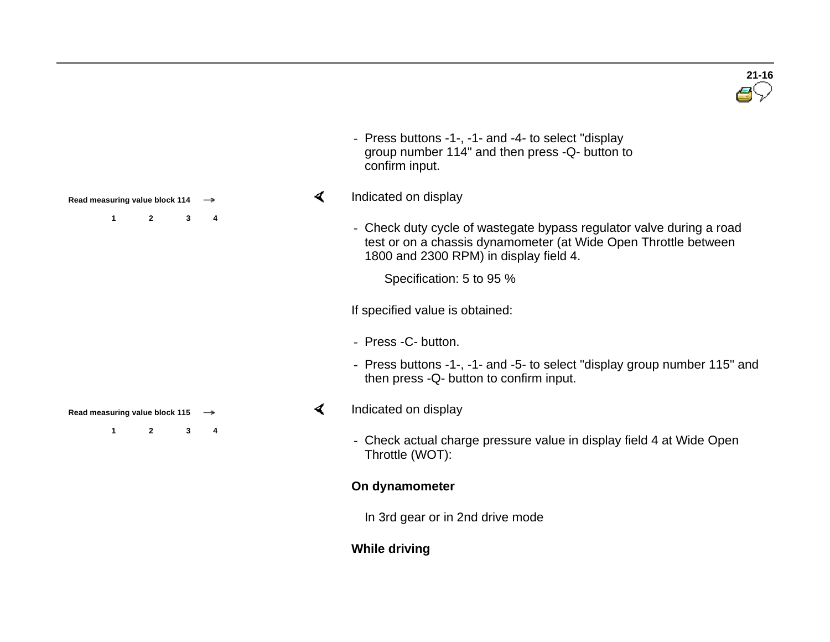

- Press buttons -1-, -1- and -4- to select "display group number 114" and then press -Q- button to confirm input.

#### Indicated on display

- Check duty cycle of wastegate bypass regulator valve during a road test or on a chassis dynamometer (at Wide Open Throttle between 1800 and 2300 RPM) in display field 4.

Specification: 5 to 95 %

If specified value is obtained:

- Press -C- button.
- Press buttons -1-, -1- and -5- to select "display group number 115" and then press -Q- button to confirm input.

#### Indicated on display

- Check actual charge pressure value in display field 4 at Wide Open Throttle (WOT):

#### **On dynamometer**

In 3rd gear or in 2nd drive mode

# **While driving**

**Read measuring value block 114 1 2 3 4**

**Read measuring value block 115** 

**1 2 3 4**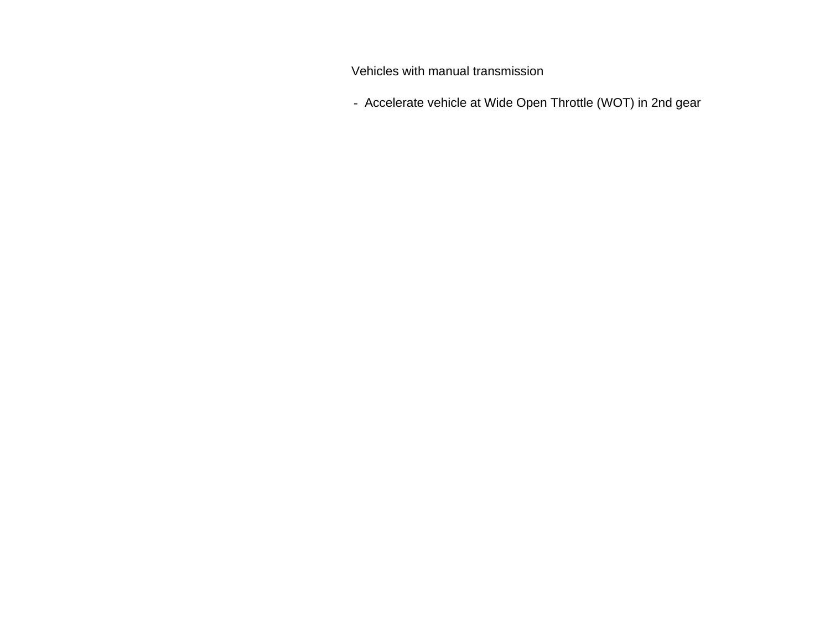Vehicles with manual transmission

- Accelerate vehicle at Wide Open Throttle (WOT) in 2nd gear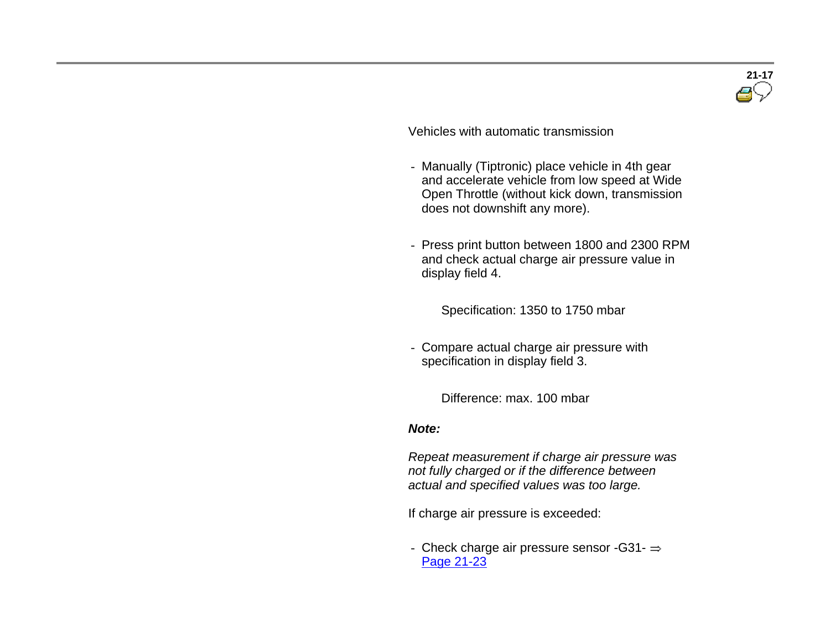

Vehicles with automatic transmission

- Manually (Tiptronic) place vehicle in 4th gear and accelerate vehicle from low speed at Wide Open Throttle (without kick down, transmission does not downshift any more).
- Press print button between 1800 and 2300 RPM and check actual charge air pressure value in display field 4.

Specification: <sup>1350</sup> to <sup>1750</sup> mbar

- Compare actual charge air pressure with specification in display field 3.

Difference: max. 100 mbar

#### *Note:*

 *Repeat measurement if charge air pressure was not fully charged or if the difference between actual and specified values was too large.*

If charge air pressure is exceeded:

- Check charge air pressure sensor  $-G31-$ Page 21-23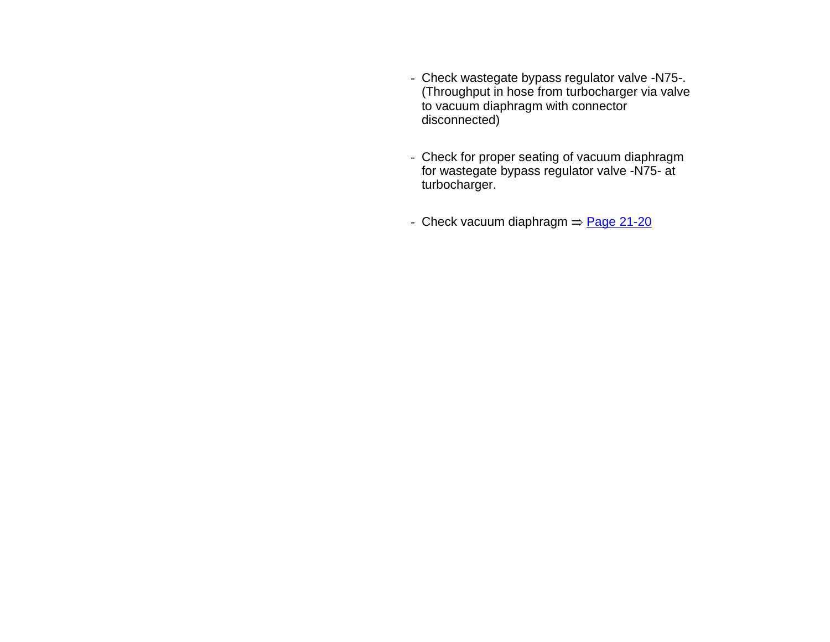- Check wastegate bypass regulator valve -N75-. (Throughput in hose from turbocharger via valve to vacuum diaphragm with connector disconnected)
- Check for proper seating of vacuum diaphragm for wastegate bypass regulator valve -N75- at turbocharger.
- Check vacuum diaphragm  $\Rightarrow$  Page 21-20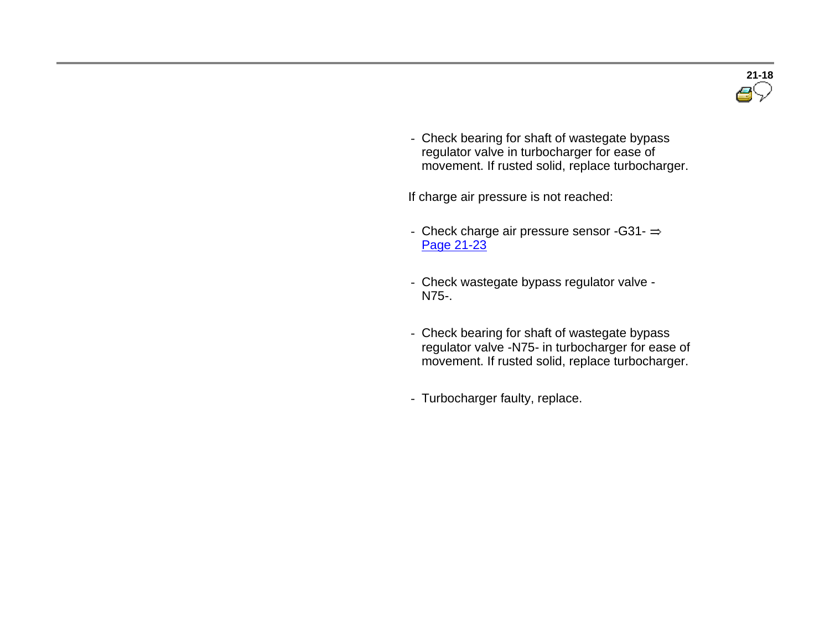

- Check bearing for shaft of wastegate bypass regulator valve in turbocharger for ease of movement. If rusted solid, replace turbocharger.

If charge air pressure is not reached:

- Check charge air pressure sensor -G31- $\Rightarrow$ Page 21-23
- Check wastegate bypass regulator valve N75-.
- Check bearing for shaft of wastegate bypass regulator valve -N75- in turbocharger for ease of movement. If rusted solid, replace turbocharger.
- Turbocharger faulty, replace.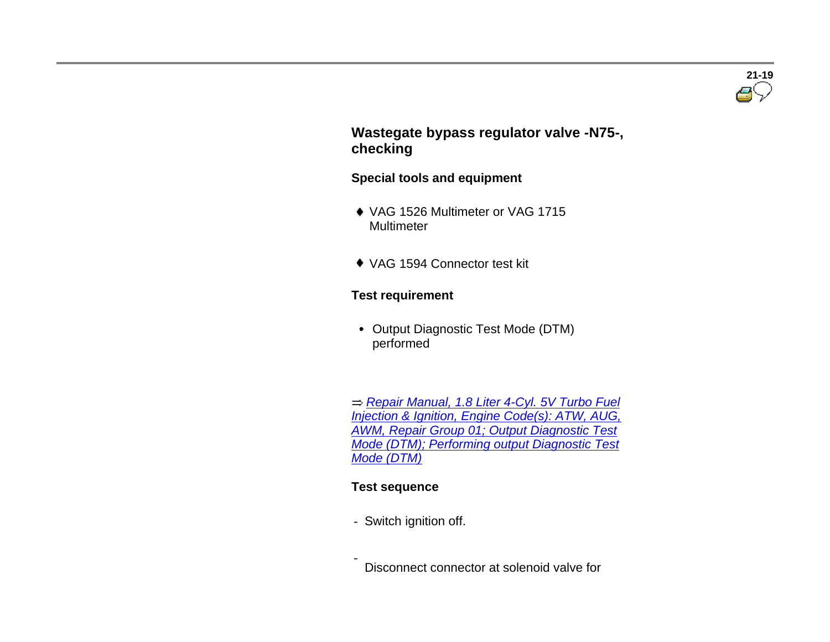

 **Wastegate bypass regulator valve -N75-, checking**

#### **Special tools and equipment**

- ◆ VAG 1526 Multimeter or VAG 1715 Multimeter
- VAG 1594 Connector test kit

#### **Test requirement**

 Output Diagnostic Test Mode (DTM) performed

 *Repair Manual, 1.8 Liter 4-Cyl. 5V Turbo Fuel Injection & Ignition, Engine Code(s): ATW, AUG, AWM, Repair Group 01; Output Diagnostic Test Mode (DTM); Performing output Diagnostic Test Mode (DTM)*

#### **Test sequence**

- Switch ignition off.

- Disconnect connector at solenoid valve for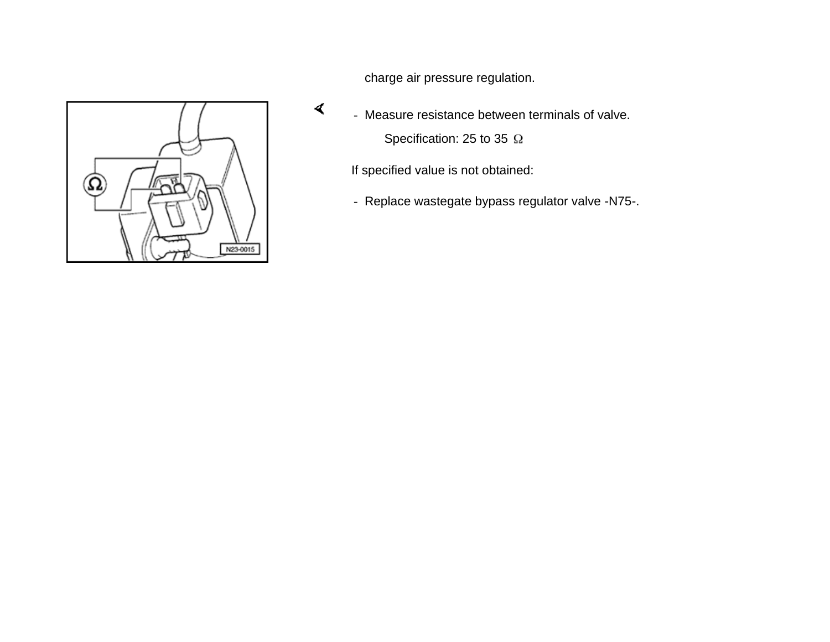

charge air pressure regulation.

- Measure resistance between terminals of valve. Specification: 25 to 35  $\Omega$ 

If specified value is not obtained:

- Replace wastegate bypass regulator valve -N75-.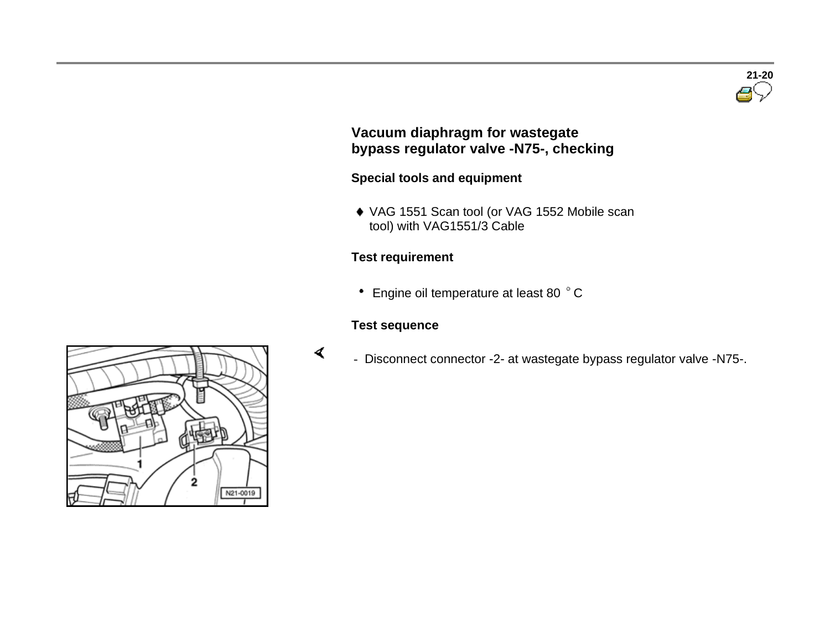

# **Vacuum diaphragm for wastegate bypass regulator valve -N75-, checking**

# **Special tools and equipment**

 VAG 1551 Scan tool (or VAG 1552 Mobile scan tool) with VAG1551/3 Cable

# **Test requirement**

• Engine oil temperature at least 80 °C

### **Test sequence**

- Disconnect connector -2- at wastegate bypass regulator valve -N75-.

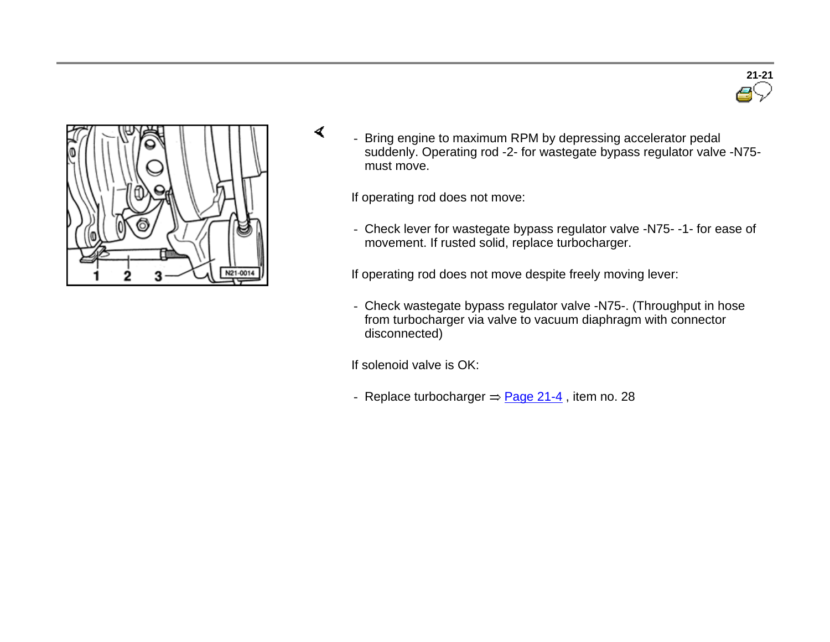



- Bring engine to maximum RPM by depressing accelerator pedal suddenly. Operating rod -2- for wastegate bypass regulator valve -N75 must move.

If operating rod does not move:

- Check lever for wastegate bypass regulator valve -N75- -1- for ease of movement. If rusted solid, replace turbocharger.

If operating rod does not move despite freely moving lever:

- Check wastegate bypass regulator valve -N75-. (Throughput in hose from turbocharger via valve to vacuum diaphragm with connector disconnected)

If solenoid valve is OK:

- Replace turbocharger  $\Rightarrow$  Page 21-4, item no. 28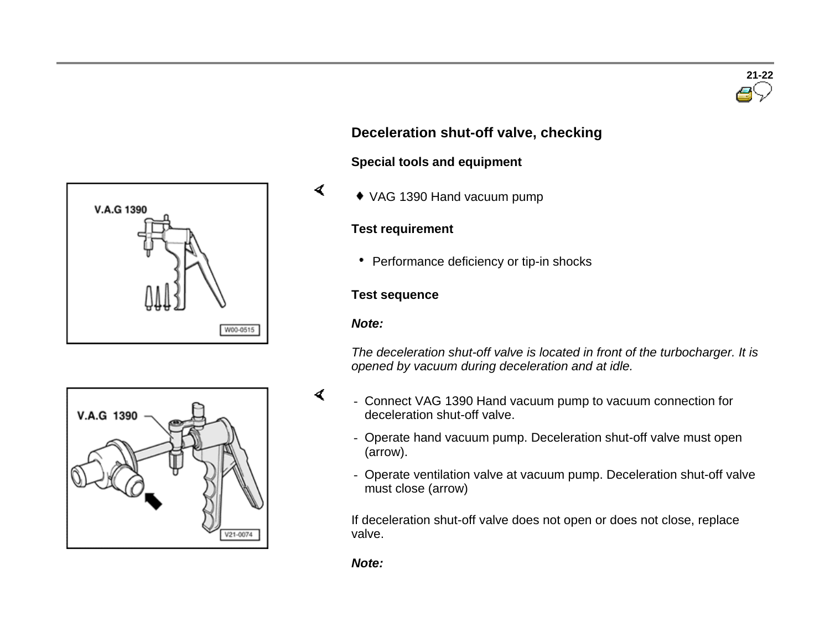





#### **Special tools and equipment**

VAG 1390 Hand vacuum pump

#### **Test requirement**

• Performance deficiency or tip-in shocks

#### **Test sequence**

#### *Note:*

 $\blacktriangleleft$ 

*The deceleration shut-off valve is located in front of the turbocharger. It is opened by vacuum during deceleration and at idle.*



- Connect VAG 1390 Hand vacuum pump to vacuum connection for deceleration shut-off valve.
- Operate hand vacuum pump. Deceleration shut-off valve must open (arrow).
- Operate ventilation valve at vacuum pump. Deceleration shut-off valve must close (arrow)

If deceleration shut-off valve does not open or does not close, replace valve.

*Note:*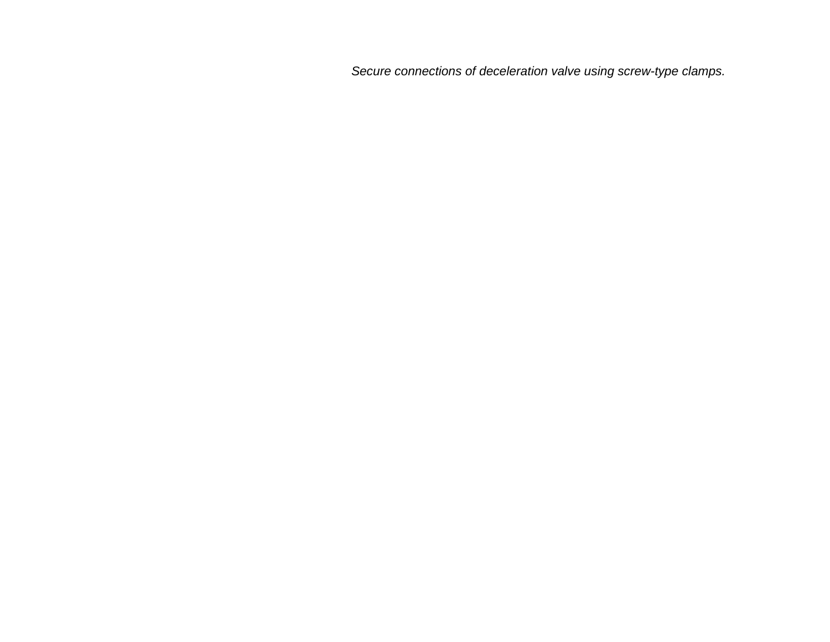*Secure connections of deceleration valve using screw-type clamps.*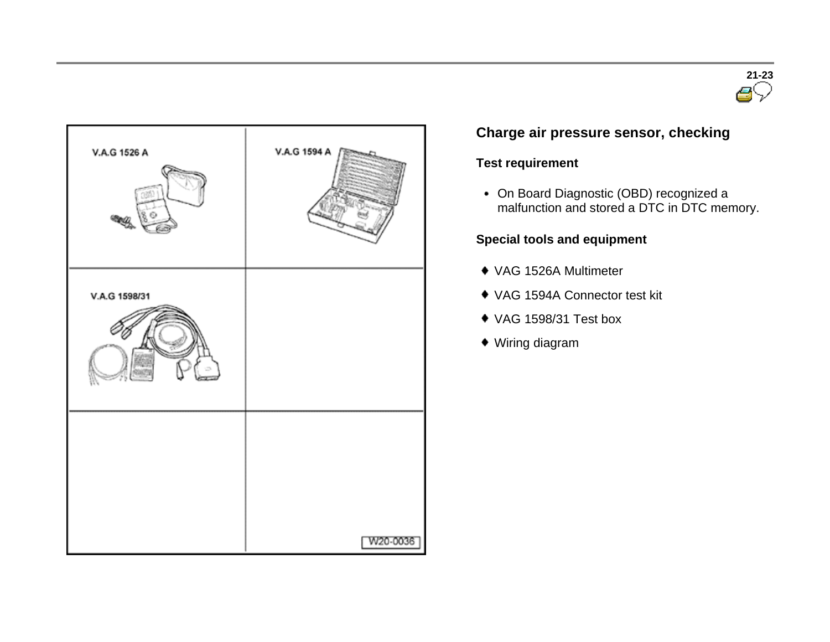



# **Charge air pressure sensor, checking**

# **Test requirement**

On Board Diagnostic (OBD) recognized a malfunction and stored a DTC in DTC memory.

# **Special tools and equipment**

- VAG 1526A Multimeter
- VAG 1594A Connector test kit
- VAG 1598/31 Test box
- Wiring diagram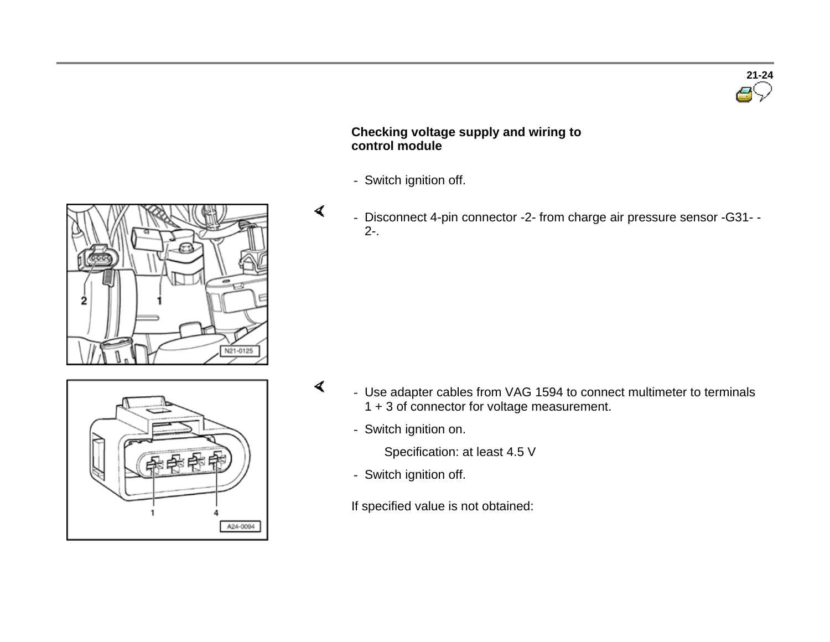

#### **Checking voltage supply and wiring to control module**

- Switch ignition off.
- $\blacktriangleleft$  - Disconnect 4-pin connector -2- from charge air pressure sensor -G31- - 2-.





- Use adapter cables from VAG 1594 to connect multimeter to terminals 1 + 3 of connector for voltage measurement.
	- Switch ignition on.

 $\blacktriangleleft$ 

Specification: at least 4.5 V

- Switch ignition off.

If specified value is not obtained: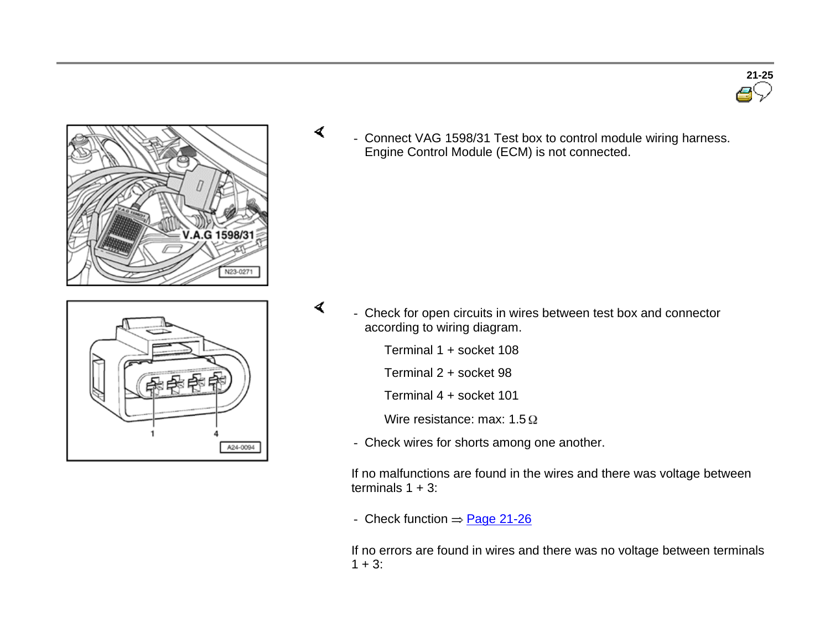





- A24-0094
- Check for open circuits in wires between test box and connector according to wiring diagram.
	- Terminal 1 + socket 108

 $\blacktriangleleft$ 

- Terminal 2 + socket 98
- Terminal 4 + socket 101
- Wire resistance: max:  $1.5 \Omega$
- Check wires for shorts among one another.

If no malfunctions are found in the wires and there was voltage between terminals  $1 + 3$ :

- Check function  $\Rightarrow$  Page 21-26

If no errors are found in wires and there was no voltage between terminals  $1 + 3$ :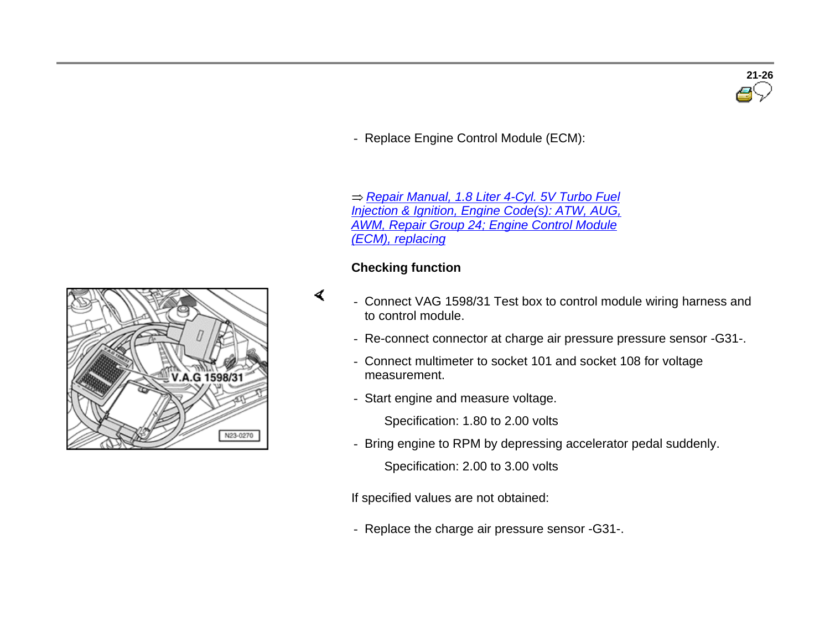# **21-26**

- Replace Engine Control Module (ECM):

 *Repair Manual, 1.8 Liter 4-Cyl. 5V Turbo Fuel Injection & Ignition, Engine Code(s): ATW, AUG, AWM, Repair Group 24; Engine Control Module (ECM), replacing*

#### **Checking function**

- Connect VAG 1598/31 Test box to control module wiring harness and to control module.
	- Re-connect connector at charge air pressure pressure sensor -G31-.
	- Connect multimeter to socket 101 and socket 108 for voltage measurement.
	- Start engine and measure voltage.

Specification: 1.80 to 2.00 volts

- Bring engine to RPM by depressing accelerator pedal suddenly.

Specification: 2.00 to 3.00 volts

If specified values are not obtained:

- Replace the charge air pressure sensor -G31-.

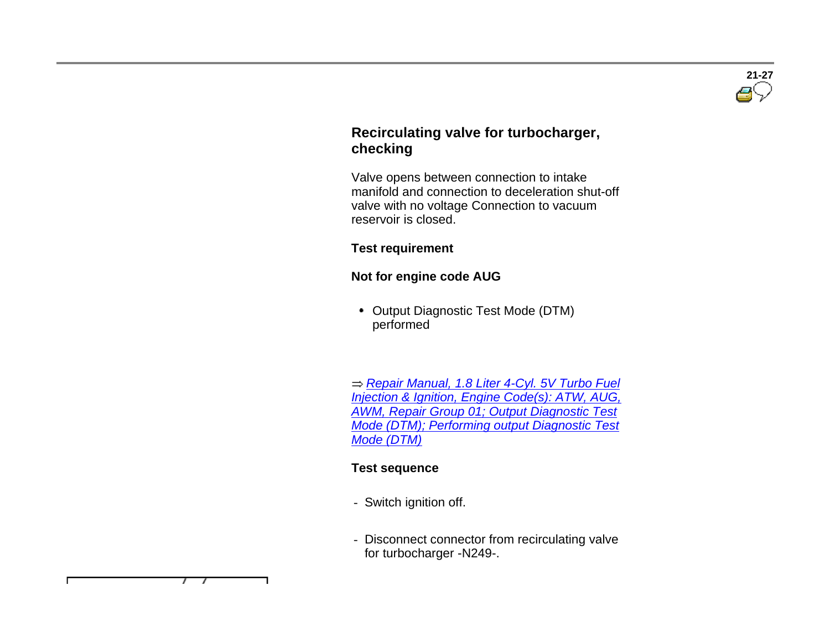

# **Recirculating valve for turbocharger, checking**

 Valve opens between connection to intake manifold and connection to deceleration shut-off valve with no voltage Connection to vacuum reservoir is closed.

#### **Test requirement**

# **Not for engine code AUG**

• Output Diagnostic Test Mode (DTM) performed

 *Repair Manual, 1.8 Liter 4-Cyl. 5V Turbo Fuel Injection & Ignition, Engine Code(s): ATW, AUG, AWM, Repair Group 01; Output Diagnostic Test Mode (DTM); Performing output Diagnostic Test Mode (DTM)*

# **Test sequence**

- Switch ignition off.
- Disconnect connector from recirculating valve for turbocharger -N249-.

7 7